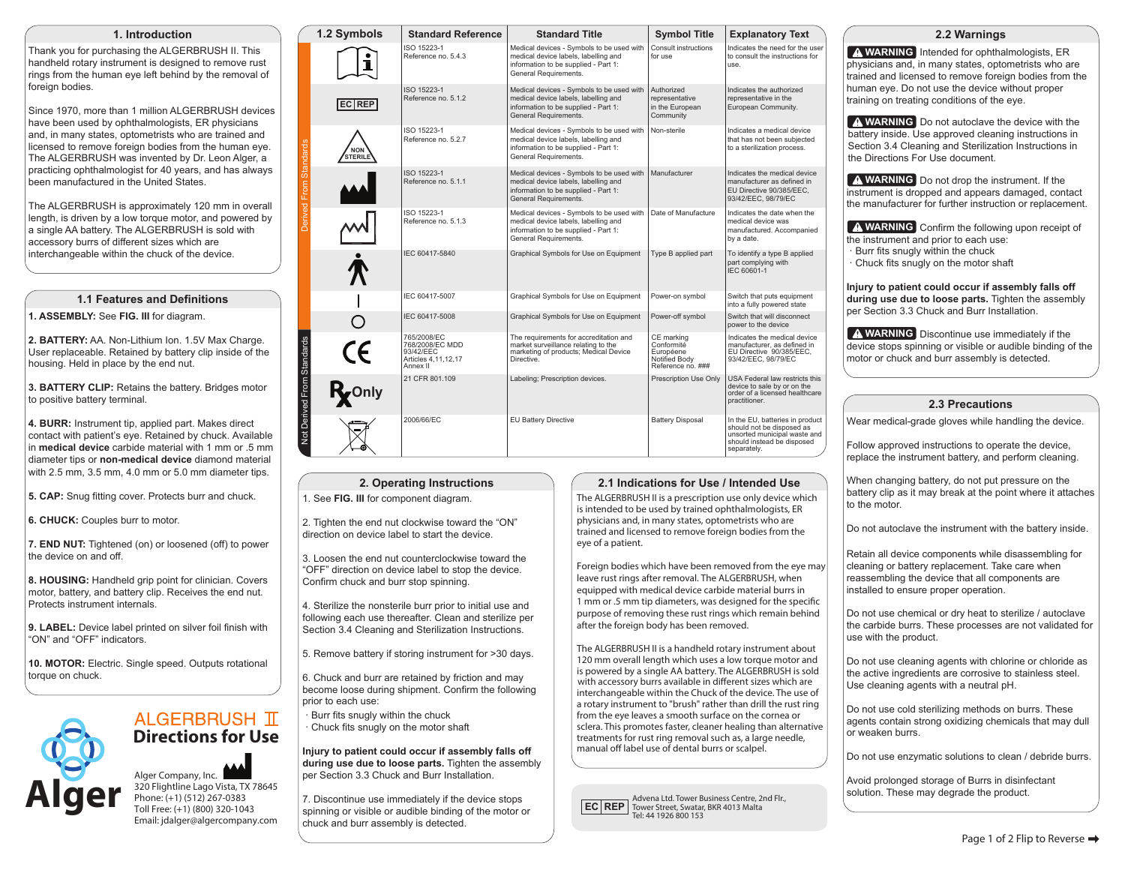#### **1. Introduction**

Thank you for purchasing the ALGERBRUSH II. This handheld rotary instrument is designed to remove rust rings from the human eye left behind by the removal of foreign bodies.

Since 1970, more than 1 million ALGERBRUSH devices have been used by ophthalmologists, ER physicians and, in many states, optometrists who are trained and licensed to remove foreign bodies from the human eye. The ALGERBRUSH was invented by Dr. Leon Alger, a practicing ophthalmologist for 40 years, and has always been manufactured in the United States.

The ALGERBRUSH is approximately 120 mm in overall length, is driven by a low torque motor, and powered by a single AA battery. The ALGERBRUSH is sold with accessory burrs of different sizes which are interchangeable within the chuck of the device.

## **1.1 Features and Definitions**

**1. ASSEMBLY:** See **FIG. III** for diagram.

**2. BATTERY:** AA. Non-Lithium Ion. 1.5V Max Charge. User replaceable. Retained by battery clip inside of the housing. Held in place by the end nut.

**3. BATTERY CLIP:** Retains the battery. Bridges motor to positive battery terminal.

**4. BURR:** Instrument tip, applied part. Makes direct contact with patient's eye. Retained by chuck. Available in **medical device** carbide material with 1 mm or .5 mm diameter tips or **non-medical device** diamond material with 2.5 mm, 3.5 mm, 4.0 mm or 5.0 mm diameter tips.

**5. CAP:** Snug fitting cover. Protects burr and chuck.

**6. CHUCK:** Couples burr to motor.

**7. END NUT:** Tightened (on) or loosened (off) to power the device on and off.

**8. HOUSING:** Handheld grip point for clinician. Covers motor, battery, and battery clip. Receives the end nut. Protects instrument internals.

**9. LABEL:** Device label printed on silver foil finish with "ON" and "OFF" indicators.

**10. MOTOR:** Electric. Single speed. Outputs rotational torque on chuck.



# **ALGERBRUSH TT Directions for Use**

Alger Company, Inc. 320 Flightline Lago Vista, TX 78645 Phone: (+1) (512) 267-0383 Toll Free: (+1) (800) 320-1043 Email: jdalger@algercompany.com

|                            | 1.2 Symbols           | <b>Standard Reference</b>                                                      | <b>Standard Title</b>                                                                                                                              | <b>Symbol Title</b>                                                         | <b>Explanatory Text</b>                                                                                                                   |
|----------------------------|-----------------------|--------------------------------------------------------------------------------|----------------------------------------------------------------------------------------------------------------------------------------------------|-----------------------------------------------------------------------------|-------------------------------------------------------------------------------------------------------------------------------------------|
| Derived From Standards     |                       | ISO 15223-1<br>Reference no. 5.4.3                                             | Medical devices - Symbols to be used with<br>medical device labels, labelling and<br>information to be supplied - Part 1:<br>General Requirements. | Consult instructions<br>for use                                             | Indicates the need for the user<br>to consult the instructions for<br>use.                                                                |
|                            | EC REP                | ISO 15223-1<br>Reference no. 5.1.2                                             | Medical devices - Symbols to be used with<br>medical device labels, labelling and<br>information to be supplied - Part 1:<br>General Requirements. | Authorized<br>representative<br>in the European<br>Community                | Indicates the authorized<br>representative in the<br>European Community.                                                                  |
|                            | <b>NON</b><br>STERILE | ISO 15223-1<br>Reference no, 5.2.7                                             | Medical devices - Symbols to be used with<br>medical device labels, labelling and<br>information to be supplied - Part 1:<br>General Requirements. | Non-sterile                                                                 | Indicates a medical device<br>that has not been subiected<br>to a sterilization process.                                                  |
|                            |                       | ISO 15223-1<br>Reference no. 5.1.1                                             | Medical devices - Symbols to be used with<br>medical device labels, labelling and<br>information to be supplied - Part 1:<br>General Requirements. | Manufacturer                                                                | Indicates the medical device<br>manufacturer as defined in<br>EU Directive 90/385/EEC.<br>93/42/EEC, 98/79/EC                             |
|                            |                       | ISO 15223-1<br>Reference no. 5.1.3                                             | Medical devices - Symbols to be used with<br>medical device labels, labelling and<br>information to be supplied - Part 1:<br>General Requirements. | Date of Manufacture                                                         | Indicates the date when the<br>medical device was<br>manufactured, Accompanied<br>by a date.                                              |
|                            |                       | IEC 60417-5840                                                                 | Graphical Symbols for Use on Equipment                                                                                                             | Type B applied part                                                         | To identify a type B applied<br>part complying with<br>IEC 60601-1                                                                        |
|                            |                       | IEC 60417-5007                                                                 | Graphical Symbols for Use on Equipment                                                                                                             | Power-on symbol                                                             | Switch that puts equipment<br>into a fully powered state                                                                                  |
|                            |                       | IEC 60417-5008                                                                 | Graphical Symbols for Use on Equipment                                                                                                             | Power-off symbol                                                            | Switch that will disconnect<br>power to the device                                                                                        |
|                            | $\epsilon$            | 765/2008/EC<br>768/2008/EC MDD<br>93/42/EEC<br>Articles 4.11.12.17<br>Annex II | The requirements for accreditation and<br>market surveillance relating to the<br>marketing of products; Medical Device<br>Directive.               | CE marking<br>Conformité<br>Européene<br>Notified Body<br>Reference no. ### | Indicates the medical device<br>manufacturer, as defined in<br>EU Directive 90/385/EEC,<br>93/42/EEC. 98/79/EC                            |
| Not Derived From Standards | Ryonly                | 21 CFR 801.109                                                                 | Labeling; Prescription devices.                                                                                                                    | Prescription Use Only                                                       | USA Federal law restricts this<br>device to sale by or on the<br>order of a licensed healthcare<br>practitioner.                          |
|                            |                       | 2006/66/EC                                                                     | <b>EU Battery Directive</b>                                                                                                                        | <b>Battery Disposal</b>                                                     | In the EU, batteries in product<br>should not be disposed as<br>unsorted municipal waste and<br>should instead be disposed<br>separately. |

#### **2. Operating Instructions**

1. See **FIG. III** for component diagram.

2. Tighten the end nut clockwise toward the "ON" direction on device label to start the device.

3. Loosen the end nut counterclockwise toward the "OFF" direction on device label to stop the device. Confirm chuck and burr stop spinning.

4. Sterilize the nonsterile burr prior to initial use and following each use thereafter. Clean and sterilize per Section 3.4 Cleaning and Sterilization Instructions.

5. Remove battery if storing instrument for >30 days.

6. Chuck and burr are retained by friction and may become loose during shipment. Confirm the following prior to each use:

 · Burr fits snugly within the chuck · Chuck fits snugly on the motor shaft

**Injury to patient could occur if assembly falls off during use due to loose parts.** Tighten the assembly per Section 3.3 Chuck and Burr Installation.

7. Discontinue use immediately if the device stops spinning or visible or audible binding of the motor or chuck and burr assembly is detected.

#### **2.1 Indications for Use / Intended Use**

The ALGERBRUSH II is a prescription use only device which is intended to be used by trained ophthalmologists, ER physicians and, in many states, optometrists who are trained and licensed to remove foreign bodies from the eye of a patient.

Foreign bodies which have been removed from the eye may leave rust rings after removal. The ALGERBRUSH, when equipped with medical device carbide material burrs in 1 mm or .5 mm tip diameters, was designed for the specific purpose of removing these rust rings which remain behind after the foreign body has been removed.

The ALGERBRUSH II is a handheld rotary instrument about 120 mm overall length which uses a low torque motor and is powered by a single AA battery. The ALGERBRUSH is sold interchangeable within the Chuck of the device. The use of a rotary instrument to "brush" rather than drill the rust ring from the eye leaves a smooth surface on the cornea or sclera. This promotes faster, cleaner healing than alternative treatments for rust ring removal such as, a large needle, with accessory burrs available in different sizes which are manual off label use of dental burrs or scalpel.

**EC REP** Advena Ltd. Tower Business Centre, 2nd Flr., **EC REP** Tower Street, Swatar, BKR 4013 Malta Tel: 44 1926 800 153

#### **2.2 Warnings**

**WARNING** Intended for ophthalmologists, ER physicians and, in many states, optometrists who are trained and licensed to remove foreign bodies from the human eye. Do not use the device without proper training on treating conditions of the eye.

**A WARNING** Do not autoclave the device with the battery inside. Use approved cleaning instructions in Section 3.4 Cleaning and Sterilization Instructions in the Directions For Use document.

**WARNING** Do not drop the instrument. If the instrument is dropped and appears damaged, contact the manufacturer for further instruction or replacement.

**WARNING** Confirm the following upon receipt of the instrument and prior to each use:

- · Burr fits snugly within the chuck
- · Chuck fits snugly on the motor shaft

**Injury to patient could occur if assembly falls off during use due to loose parts.** Tighten the assembly per Section 3.3 Chuck and Burr Installation.

**WARNING** Discontinue use immediately if the device stops spinning or visible or audible binding of the motor or chuck and burr assembly is detected.

#### **2.3 Precautions**

Wear medical-grade gloves while handling the device.

Follow approved instructions to operate the device, replace the instrument battery, and perform cleaning.

When changing battery, do not put pressure on the battery clip as it may break at the point where it attaches to the motor.

Do not autoclave the instrument with the battery inside.

Retain all device components while disassembling for cleaning or battery replacement. Take care when reassembling the device that all components are installed to ensure proper operation.

Do not use chemical or dry heat to sterilize / autoclave the carbide burrs. These processes are not validated for use with the product.

Do not use cleaning agents with chlorine or chloride as the active ingredients are corrosive to stainless steel. Use cleaning agents with a neutral pH.

Do not use cold sterilizing methods on burrs. These agents contain strong oxidizing chemicals that may dull or weaken burrs.

Do not use enzymatic solutions to clean / debride burrs.

Avoid prolonged storage of Burrs in disinfectant solution. These may degrade the product.